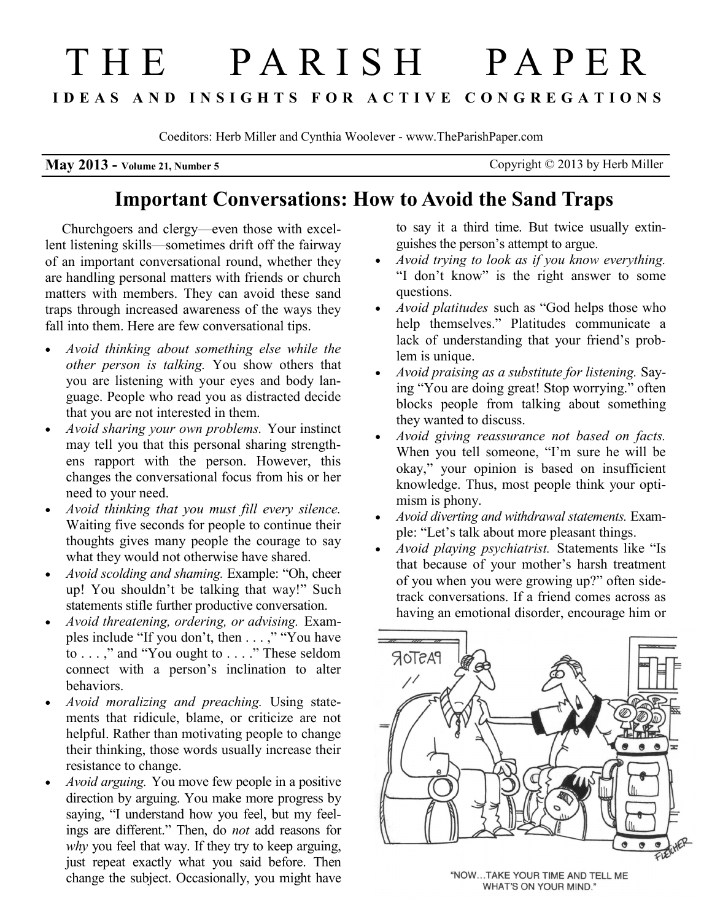# THE PAR IS H PAPE R **IDEAS AND INSIGHTS FOR ACTIVE CONGREGATIONS**

Coeditors: Herb Miller and Cynthia Woolever - www.TheParishPaper.com

**May 2013 - Volume 21, Number 5** Copyright © 2013 by Herb Miller

## **Important Conversations: How to Avoid the Sand Traps**

Churchgoers and clergy—even those with excellent listening skills—sometimes drift off the fairway of an important conversational round, whether they are handling personal matters with friends or church matters with members. They can avoid these sand traps through increased awareness of the ways they fall into them. Here are few conversational tips.

- *Avoid thinking about something else while the other person is talking.* You show others that you are listening with your eyes and body language. People who read you as distracted decide that you are not interested in them.
- *Avoid sharing your own problems.* Your instinct may tell you that this personal sharing strengthens rapport with the person. However, this changes the conversational focus from his or her need to your need.
- *Avoid thinking that you must fill every silence.* Waiting five seconds for people to continue their thoughts gives many people the courage to say what they would not otherwise have shared.
- *Avoid scolding and shaming.* Example: "Oh, cheer up! You shouldn't be talking that way!" Such statements stifle further productive conversation.
- *Avoid threatening, ordering, or advising.* Examples include "If you don't, then . . . ," "You have to . . . ," and "You ought to . . . ." These seldom connect with a person's inclination to alter behaviors.
- *Avoid moralizing and preaching.*  Using statements that ridicule, blame, or criticize are not helpful. Rather than motivating people to change their thinking, those words usually increase their resistance to change.
- *Avoid arguing.* You move few people in a positive direction by arguing. You make more progress by saying, "I understand how you feel, but my feelings are different." Then, do *not* add reasons for *why* you feel that way. If they try to keep arguing, just repeat exactly what you said before. Then change the subject. Occasionally, you might have

to say it a third time. But twice usually extinguishes the person's attempt to argue.

- *Avoid trying to look as if you know everything.* "I don't know" is the right answer to some questions.
- *Avoid platitudes* such as "God helps those who help themselves." Platitudes communicate a lack of understanding that your friend's problem is unique.
- *Avoid praising as a substitute for listening.* Saying "You are doing great! Stop worrying." often blocks people from talking about something they wanted to discuss.
- *Avoid giving reassurance not based on facts.*  When you tell someone, "I'm sure he will be okay," your opinion is based on insufficient knowledge. Thus, most people think your optimism is phony.
- *Avoid diverting and withdrawal statements.* Example: "Let's talk about more pleasant things.
- *Avoid playing psychiatrist.* Statements like "Is that because of your mother's harsh treatment of you when you were growing up?" often sidetrack conversations. If a friend comes across as having an emotional disorder, encourage him or



"NOW...TAKE YOUR TIME AND TELL ME WHAT'S ON YOUR MIND."